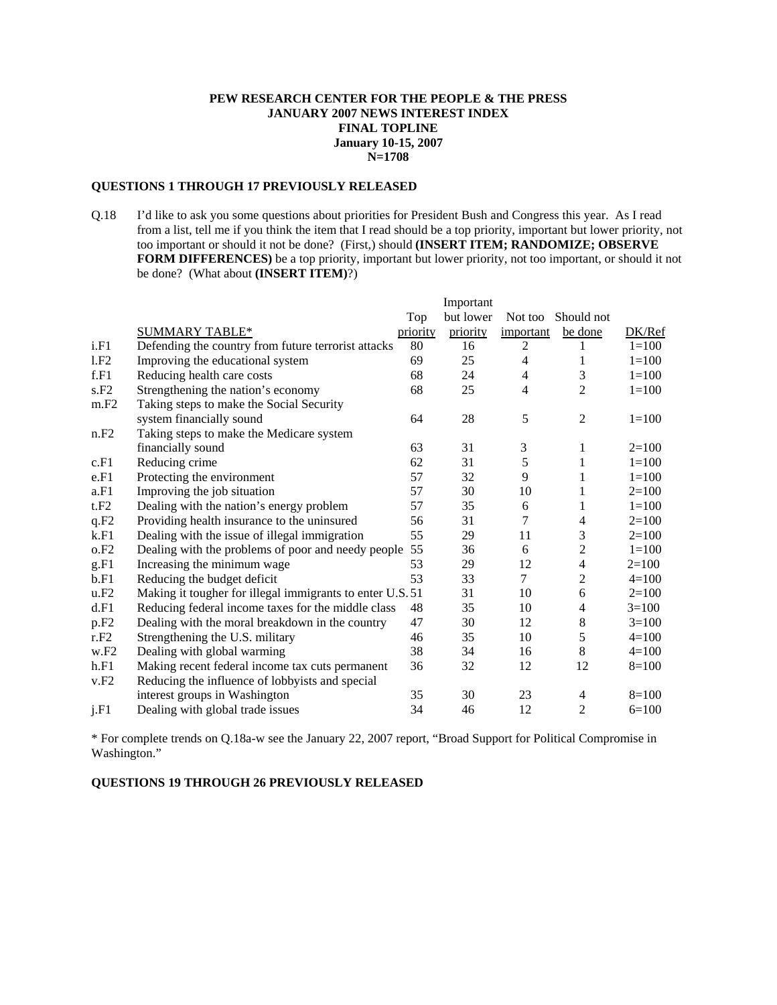# **PEW RESEARCH CENTER FOR THE PEOPLE & THE PRESS JANUARY 2007 NEWS INTEREST INDEX FINAL TOPLINE January 10-15, 2007 N=1708**

# **QUESTIONS 1 THROUGH 17 PREVIOUSLY RELEASED**

Q.18 I'd like to ask you some questions about priorities for President Bush and Congress this year. As I read from a list, tell me if you think the item that I read should be a top priority, important but lower priority, not too important or should it not be done? (First,) should **(INSERT ITEM; RANDOMIZE; OBSERVE FORM DIFFERENCES)** be a top priority, important but lower priority, not too important, or should it not be done? (What about **(INSERT ITEM)**?)

|                  |                                                           |          | Important |                |                |           |
|------------------|-----------------------------------------------------------|----------|-----------|----------------|----------------|-----------|
|                  |                                                           | Top      | but lower | Not too        | Should not     |           |
|                  | <b>SUMMARY TABLE*</b>                                     | priority | priority  | important      | be done        | DK/Ref    |
| i.F1             | Defending the country from future terrorist attacks       | 80       | 16        | 2              |                | $1 = 100$ |
| 1.F2             | Improving the educational system                          | 69       | 25        | 4              | 1              | $1 = 100$ |
| f.F1             | Reducing health care costs                                | 68       | 24        | $\overline{4}$ | 3              | $1 = 100$ |
| s.F2             | Strengthening the nation's economy                        | 68       | 25        | 4              | 2              | $1 = 100$ |
| m.F2             | Taking steps to make the Social Security                  |          |           |                |                |           |
|                  | system financially sound                                  | 64       | 28        | 5              | $\mathfrak{2}$ | $1 = 100$ |
| n.F2             | Taking steps to make the Medicare system                  |          |           |                |                |           |
|                  | financially sound                                         | 63       | 31        | 3              | 1              | $2=100$   |
| c.F1             | Reducing crime                                            | 62       | 31        | 5              | 1              | $1 = 100$ |
| e.F1             | Protecting the environment                                | 57       | 32        | 9              | 1              | $1 = 100$ |
| a.F1             | Improving the job situation                               | 57       | 30        | 10             | 1              | $2=100$   |
| t.F2             | Dealing with the nation's energy problem                  | 57       | 35        | 6              | 1              | $1 = 100$ |
| q.F2             | Providing health insurance to the uninsured               | 56       | 31        | 7              | $\overline{4}$ | $2=100$   |
| k.F1             | Dealing with the issue of illegal immigration             | 55       | 29        | 11             | 3              | $2=100$   |
| o.F2             | Dealing with the problems of poor and needy people        | 55       | 36        | 6              | $\overline{c}$ | $1 = 100$ |
| g.F1             | Increasing the minimum wage                               | 53       | 29        | 12             | $\overline{4}$ | $2=100$   |
| b.F1             | Reducing the budget deficit                               | 53       | 33        | $\tau$         | $\overline{2}$ | $4=100$   |
| u.F2             | Making it tougher for illegal immigrants to enter U.S. 51 |          | 31        | 10             | 6              | $2=100$   |
| d.F1             | Reducing federal income taxes for the middle class        | 48       | 35        | 10             | $\overline{4}$ | $3=100$   |
| p.F <sub>2</sub> | Dealing with the moral breakdown in the country           | 47       | 30        | 12             | 8              | $3=100$   |
| r.F2             | Strengthening the U.S. military                           | 46       | 35        | 10             | 5              | $4=100$   |
| w.F2             | Dealing with global warming                               | 38       | 34        | 16             | $\,8\,$        | $4=100$   |
| h.F1             | Making recent federal income tax cuts permanent           | 36       | 32        | 12             | 12             | $8=100$   |
| v.F2             | Reducing the influence of lobbyists and special           |          |           |                |                |           |
|                  | interest groups in Washington                             | 35       | 30        | 23             | 4              | $8=100$   |
| j.F1             | Dealing with global trade issues                          | 34       | 46        | 12             | $\overline{2}$ | $6=100$   |

\* For complete trends on Q.18a-w see the January 22, 2007 report, "Broad Support for Political Compromise in Washington."

## **QUESTIONS 19 THROUGH 26 PREVIOUSLY RELEASED**